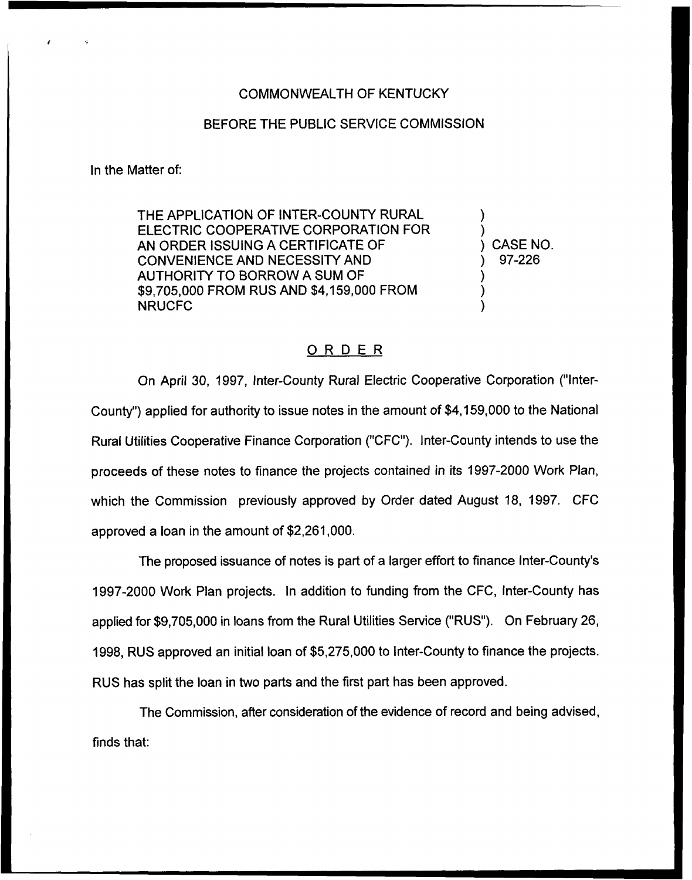## COMMONWEALTH OF KENTUCKY

## BEFORE THE PUBLIC SERVICE COMMISSION

In the Matter of:

THE APPLICATION OF INTER-COUNTY RURAL ELECTRIC COOPERATIVE CORPORATION FOR AN ORDER ISSUING A CERTIFICATE OF CONVENIENCE AND NECESSITY AND AUTHORITY TO BORROW A SUM OF \$9,705,000 FROM RUS AND \$4,159,000 FROM NRUCFC

) ) ) CASE NO. ) 97-226 ) )

)

## ORDER

On April 30, 1997, Inter-County Rural Electric Cooperative Corporation ("lnter-County") applied for authority to issue notes in the amount of \$4,159,000 to the National Rural Utilities Cooperative Finance Corporation ("CFC"). Inter-County intends to use the proceeds of these notes to finance the projects contained in its 1997-2000 Work Plan, which the Commission previously approved by Order dated August 18, 1997. CFC approved a loan in the amount of \$2,261,000.

The proposed issuance of notes is part of a larger effort to finance Inter-County's 1997-2000 Work Plan projects. In addition to funding from the CFC, Inter-County has applied for \$9,705,000 in loans from the Rural Utilities Service ("RUS"). On February 26, 1998, RUS approved an initial loan of \$5,275,000 to Inter-County to finance the projects. RUS has split the loan in two parts and the first part has been approved.

The Commission, after consideration of the evidence of record and being advised, finds that: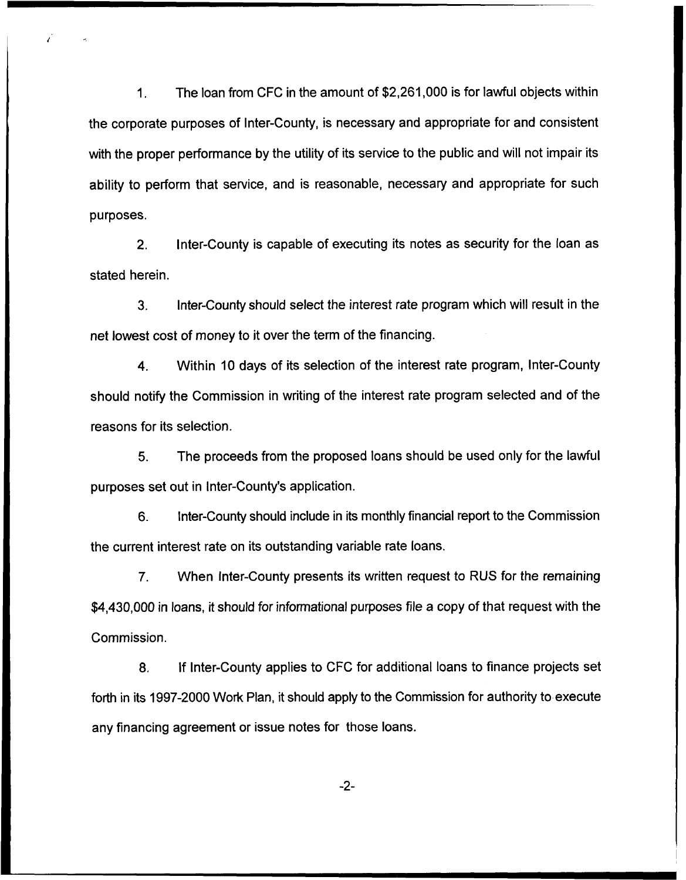The loan from CFC in the amount of \$2,261,000 is for lawful objects within  $1<sub>1</sub>$ the corporate purposes of Inter-County, is necessary and appropriate for and consistent with the proper performance by the utility of its service to the public and will not impair its ability to perform that service, and is reasonable, necessary and appropriate for such purposes.

2. Inter-County is capable of executing its notes as security for the loan as stated herein.

3. Inter-County should select the interest rate program which will result in the net lowest cost of money to it over the term of the financing.

4. Within 10 days of its selection of the interest rate program, Inter-County should notify the Commission in writing of the interest rate program selected and of the reasons for its selection.

5. The proceeds from the proposed loans should be used only for the lawful purposes set out in Inter-County's application.

6. Inter-County should include in its monthly financial report to the Commission the current interest rate on its outstanding variable rate loans.

7. When Inter-County presents its written request to RUS for the remaining \$4,430,000 in loans, it should for informational purposes file a copy of that request with the Commission.

8. If Inter-County applies to CFC for additional loans to finance projects set forth in its 1997-2000 Work Plan, it should apply to the Commission for authority to execute any financing agreement or issue notes for those loans.

 $-2-$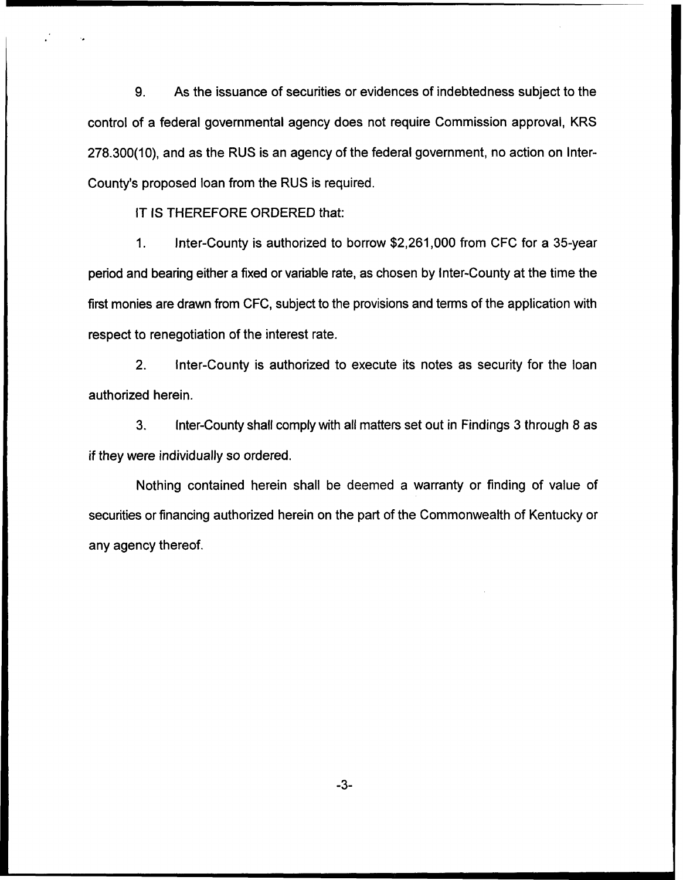9. As the issuance of securities or evidences of indebtedness subject to the control of a federal governmental agency does not require Commission approval, KRS 278.300(10), and as the RUS is an agency of the federal government, no action on lnter-County's proposed loan from the RUS is required.

IT IS THEREFORE ORDERED that:

Inter-County is authorized to borrow \$2,261,000 from CFC for a 35-year  $1.$ period and bearing either a fixed or variable rate, as chosen by Inter-County at the time the first monies are drawn from CFC, subject to the provisions and terms of the application with respect to renegotiation of the interest rate.

2. Inter-County is authorized to execute its notes as security for the loan authorized herein.

3. Inter-County shall comply with all matters set out in Findings 3 through 8 as if they were individually so ordered.

Nothing contained herein shall be deemed a warranty or finding of value of securities or financing authorized herein on the part of the Commonwealth of Kentucky or any agency thereof.

 $-3-$